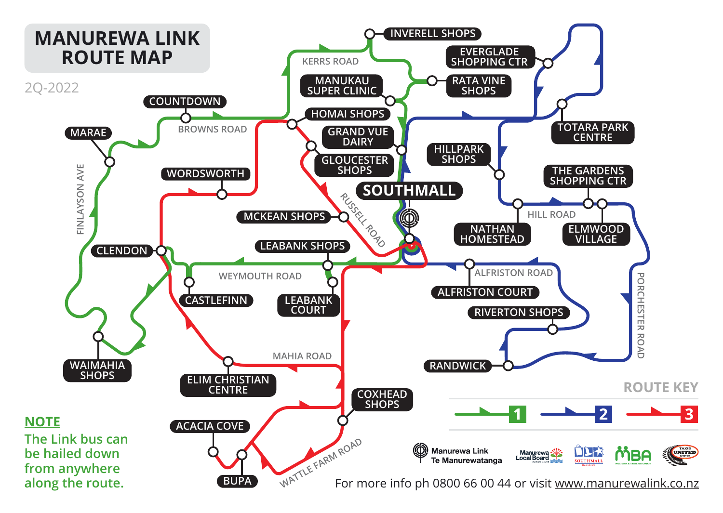